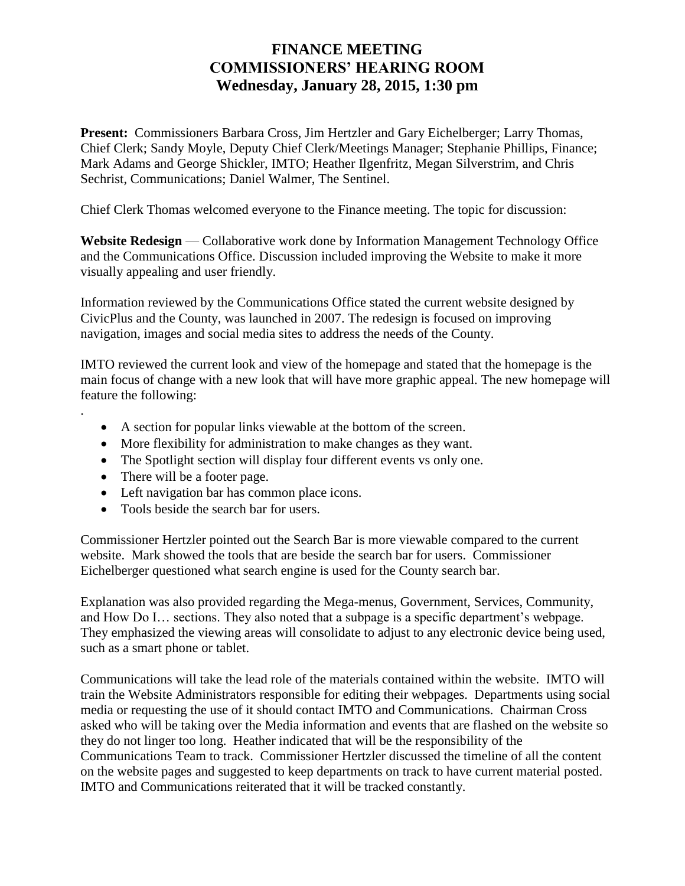## **FINANCE MEETING COMMISSIONERS' HEARING ROOM Wednesday, January 28, 2015, 1:30 pm**

**Present:** Commissioners Barbara Cross, Jim Hertzler and Gary Eichelberger; Larry Thomas, Chief Clerk; Sandy Moyle, Deputy Chief Clerk/Meetings Manager; Stephanie Phillips, Finance; Mark Adams and George Shickler, IMTO; Heather Ilgenfritz, Megan Silverstrim, and Chris Sechrist, Communications; Daniel Walmer, The Sentinel.

Chief Clerk Thomas welcomed everyone to the Finance meeting. The topic for discussion:

**Website Redesign** — Collaborative work done by Information Management Technology Office and the Communications Office. Discussion included improving the Website to make it more visually appealing and user friendly.

Information reviewed by the Communications Office stated the current website designed by CivicPlus and the County, was launched in 2007. The redesign is focused on improving navigation, images and social media sites to address the needs of the County.

IMTO reviewed the current look and view of the homepage and stated that the homepage is the main focus of change with a new look that will have more graphic appeal. The new homepage will feature the following:

- A section for popular links viewable at the bottom of the screen.
- More flexibility for administration to make changes as they want.
- The Spotlight section will display four different events vs only one.
- There will be a footer page.

.

- Left navigation bar has common place icons.
- Tools beside the search bar for users.

Commissioner Hertzler pointed out the Search Bar is more viewable compared to the current website. Mark showed the tools that are beside the search bar for users. Commissioner Eichelberger questioned what search engine is used for the County search bar.

Explanation was also provided regarding the Mega-menus, Government, Services, Community, and How Do I… sections. They also noted that a subpage is a specific department's webpage. They emphasized the viewing areas will consolidate to adjust to any electronic device being used, such as a smart phone or tablet.

Communications will take the lead role of the materials contained within the website. IMTO will train the Website Administrators responsible for editing their webpages. Departments using social media or requesting the use of it should contact IMTO and Communications. Chairman Cross asked who will be taking over the Media information and events that are flashed on the website so they do not linger too long. Heather indicated that will be the responsibility of the Communications Team to track. Commissioner Hertzler discussed the timeline of all the content on the website pages and suggested to keep departments on track to have current material posted. IMTO and Communications reiterated that it will be tracked constantly.